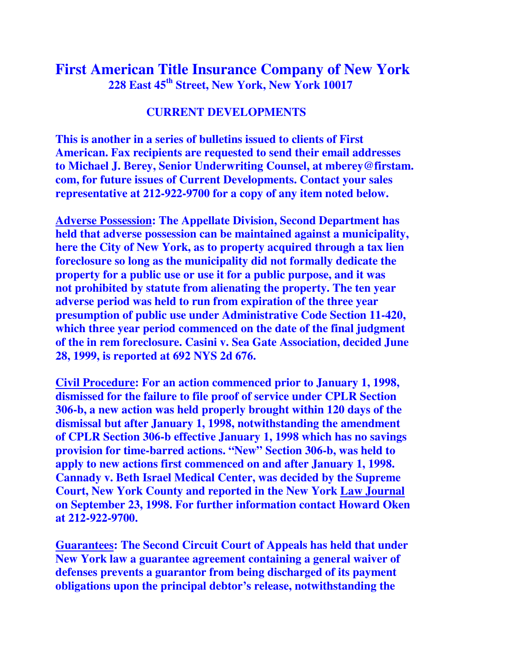## **First American Title Insurance Company of New York 228 East 45th Street, New York, New York 10017**

## **CURRENT DEVELOPMENTS**

**This is another in a series of bulletins issued to clients of First American. Fax recipients are requested to send their email addresses to Michael J. Berey, Senior Underwriting Counsel, at mberey@firstam. com, for future issues of Current Developments. Contact your sales representative at 212-922-9700 for a copy of any item noted below.** 

**Adverse Possession: The Appellate Division, Second Department has held that adverse possession can be maintained against a municipality, here the City of New York, as to property acquired through a tax lien foreclosure so long as the municipality did not formally dedicate the property for a public use or use it for a public purpose, and it was not prohibited by statute from alienating the property. The ten year adverse period was held to run from expiration of the three year presumption of public use under Administrative Code Section 11-420, which three year period commenced on the date of the final judgment of the in rem foreclosure. Casini v. Sea Gate Association, decided June 28, 1999, is reported at 692 NYS 2d 676.**

**Civil Procedure: For an action commenced prior to January 1, 1998, dismissed for the failure to file proof of service under CPLR Section 306-b, a new action was held properly brought within 120 days of the dismissal but after January 1, 1998, notwithstanding the amendment of CPLR Section 306-b effective January 1, 1998 which has no savings provision for time-barred actions. "New" Section 306-b, was held to apply to new actions first commenced on and after January 1, 1998. Cannady v. Beth Israel Medical Center, was decided by the Supreme Court, New York County and reported in the New York Law Journal on September 23, 1998. For further information contact Howard Oken at 212-922-9700.** 

**Guarantees: The Second Circuit Court of Appeals has held that under New York law a guarantee agreement containing a general waiver of defenses prevents a guarantor from being discharged of its payment obligations upon the principal debtor's release, notwithstanding the**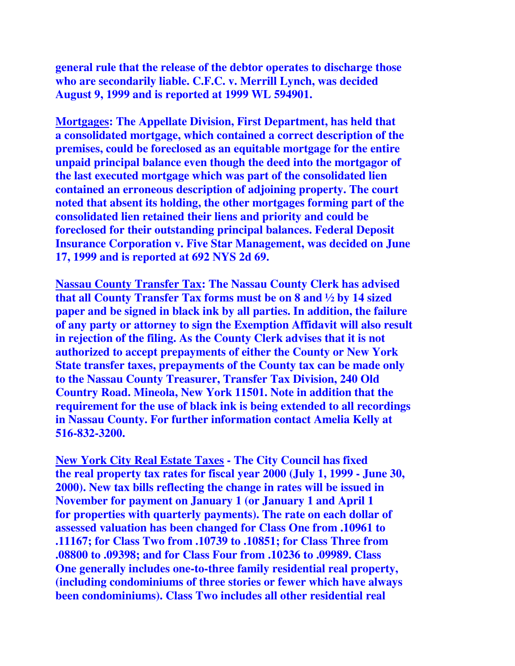**general rule that the release of the debtor operates to discharge those who are secondarily liable. C.F.C. v. Merrill Lynch, was decided August 9, 1999 and is reported at 1999 WL 594901.** 

**Mortgages: The Appellate Division, First Department, has held that a consolidated mortgage, which contained a correct description of the premises, could be foreclosed as an equitable mortgage for the entire unpaid principal balance even though the deed into the mortgagor of the last executed mortgage which was part of the consolidated lien contained an erroneous description of adjoining property. The court noted that absent its holding, the other mortgages forming part of the consolidated lien retained their liens and priority and could be foreclosed for their outstanding principal balances. Federal Deposit Insurance Corporation v. Five Star Management, was decided on June 17, 1999 and is reported at 692 NYS 2d 69.** 

**Nassau County Transfer Tax: The Nassau County Clerk has advised that all County Transfer Tax forms must be on 8 and ½ by 14 sized paper and be signed in black ink by all parties. In addition, the failure of any party or attorney to sign the Exemption Affidavit will also result in rejection of the filing. As the County Clerk advises that it is not authorized to accept prepayments of either the County or New York State transfer taxes, prepayments of the County tax can be made only to the Nassau County Treasurer, Transfer Tax Division, 240 Old Country Road. Mineola, New York 11501. Note in addition that the requirement for the use of black ink is being extended to all recordings in Nassau County. For further information contact Amelia Kelly at 516-832-3200.** 

**New York City Real Estate Taxes - The City Council has fixed the real property tax rates for fiscal year 2000 (July 1, 1999 - June 30, 2000). New tax bills reflecting the change in rates will be issued in November for payment on January 1 (or January 1 and April 1 for properties with quarterly payments). The rate on each dollar of assessed valuation has been changed for Class One from .10961 to .11167; for Class Two from .10739 to .10851; for Class Three from .08800 to .09398; and for Class Four from .10236 to .09989. Class One generally includes one-to-three family residential real property, (including condominiums of three stories or fewer which have always been condominiums). Class Two includes all other residential real**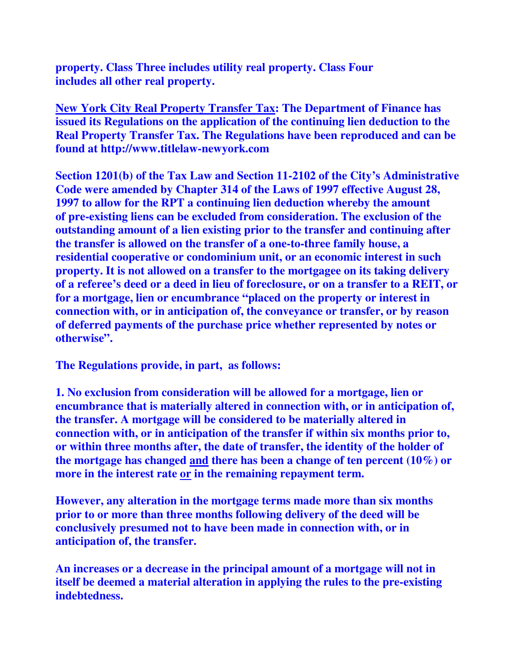**property. Class Three includes utility real property. Class Four includes all other real property.** 

**New York City Real Property Transfer Tax: The Department of Finance has issued its Regulations on the application of the continuing lien deduction to the Real Property Transfer Tax. The Regulations have been reproduced and can be found at http://www.titlelaw-newyork.com** 

**Section 1201(b) of the Tax Law and Section 11-2102 of the City's Administrative Code were amended by Chapter 314 of the Laws of 1997 effective August 28, 1997 to allow for the RPT a continuing lien deduction whereby the amount of pre-existing liens can be excluded from consideration. The exclusion of the outstanding amount of a lien existing prior to the transfer and continuing after the transfer is allowed on the transfer of a one-to-three family house, a residential cooperative or condominium unit, or an economic interest in such property. It is not allowed on a transfer to the mortgagee on its taking delivery of a referee's deed or a deed in lieu of foreclosure, or on a transfer to a REIT, or for a mortgage, lien or encumbrance "placed on the property or interest in connection with, or in anticipation of, the conveyance or transfer, or by reason of deferred payments of the purchase price whether represented by notes or otherwise".** 

**The Regulations provide, in part, as follows:** 

**1. No exclusion from consideration will be allowed for a mortgage, lien or encumbrance that is materially altered in connection with, or in anticipation of, the transfer. A mortgage will be considered to be materially altered in connection with, or in anticipation of the transfer if within six months prior to, or within three months after, the date of transfer, the identity of the holder of the mortgage has changed and there has been a change of ten percent (10%) or more in the interest rate or in the remaining repayment term.** 

**However, any alteration in the mortgage terms made more than six months prior to or more than three months following delivery of the deed will be conclusively presumed not to have been made in connection with, or in anticipation of, the transfer.** 

**An increases or a decrease in the principal amount of a mortgage will not in itself be deemed a material alteration in applying the rules to the pre-existing indebtedness.**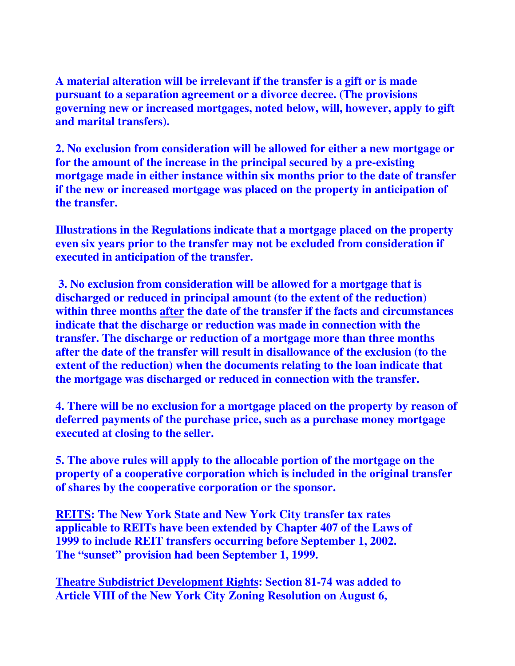**A material alteration will be irrelevant if the transfer is a gift or is made pursuant to a separation agreement or a divorce decree. (The provisions governing new or increased mortgages, noted below, will, however, apply to gift and marital transfers).** 

**2. No exclusion from consideration will be allowed for either a new mortgage or for the amount of the increase in the principal secured by a pre-existing mortgage made in either instance within six months prior to the date of transfer if the new or increased mortgage was placed on the property in anticipation of the transfer.** 

**Illustrations in the Regulations indicate that a mortgage placed on the property even six years prior to the transfer may not be excluded from consideration if executed in anticipation of the transfer.** 

 **3. No exclusion from consideration will be allowed for a mortgage that is discharged or reduced in principal amount (to the extent of the reduction) within three months after the date of the transfer if the facts and circumstances indicate that the discharge or reduction was made in connection with the transfer. The discharge or reduction of a mortgage more than three months after the date of the transfer will result in disallowance of the exclusion (to the extent of the reduction) when the documents relating to the loan indicate that the mortgage was discharged or reduced in connection with the transfer.** 

**4. There will be no exclusion for a mortgage placed on the property by reason of deferred payments of the purchase price, such as a purchase money mortgage executed at closing to the seller.** 

**5. The above rules will apply to the allocable portion of the mortgage on the property of a cooperative corporation which is included in the original transfer of shares by the cooperative corporation or the sponsor.** 

**REITS: The New York State and New York City transfer tax rates applicable to REITs have been extended by Chapter 407 of the Laws of 1999 to include REIT transfers occurring before September 1, 2002. The "sunset" provision had been September 1, 1999.** 

**Theatre Subdistrict Development Rights: Section 81-74 was added to Article VIII of the New York City Zoning Resolution on August 6,**